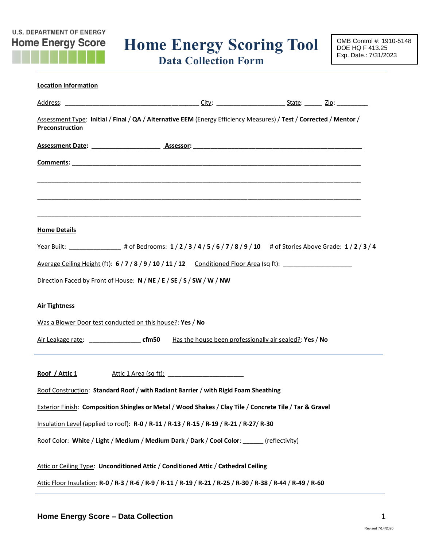# **Home Energy Score Home Energy Scoring Tool**

**Data Collection Form**

| <b>Location Information</b>                                                                                                           |  |  |  |
|---------------------------------------------------------------------------------------------------------------------------------------|--|--|--|
|                                                                                                                                       |  |  |  |
| Assessment Type: Initial / Final / QA / Alternative EEM (Energy Efficiency Measures) / Test / Corrected / Mentor /<br>Preconstruction |  |  |  |
|                                                                                                                                       |  |  |  |
|                                                                                                                                       |  |  |  |
|                                                                                                                                       |  |  |  |
|                                                                                                                                       |  |  |  |
|                                                                                                                                       |  |  |  |
| <b>Home Details</b>                                                                                                                   |  |  |  |
|                                                                                                                                       |  |  |  |
| Average Ceiling Height (ft): 6/7/8/9/10/11/12 Conditioned Floor Area (sq ft): ______________________                                  |  |  |  |
| Direction Faced by Front of House: N / NE / E / SE / S / SW / W / NW                                                                  |  |  |  |
|                                                                                                                                       |  |  |  |
| <b>Air Tightness</b>                                                                                                                  |  |  |  |
| Was a Blower Door test conducted on this house?: Yes / No                                                                             |  |  |  |
|                                                                                                                                       |  |  |  |
|                                                                                                                                       |  |  |  |
| Roof / Attic 1                                                                                                                        |  |  |  |
| Roof Construction: Standard Roof / with Radiant Barrier / with Rigid Foam Sheathing                                                   |  |  |  |
| Exterior Finish: Composition Shingles or Metal / Wood Shakes / Clay Tile / Concrete Tile / Tar & Gravel                               |  |  |  |
| Insulation Level (applied to roof): R-0 / R-11 / R-13 / R-15 / R-19 / R-21 / R-27/ R-30                                               |  |  |  |
| Roof Color: White / Light / Medium / Medium Dark / Dark / Cool Color: ______ (reflectivity)                                           |  |  |  |
| Attic or Ceiling Type: Unconditioned Attic / Conditioned Attic / Cathedral Ceiling                                                    |  |  |  |
| Attic Floor Insulation: R-0 / R-3 / R-6 / R-9 / R-11 / R-19 / R-21 / R-25 / R-30 / R-38 / R-44 / R-49 / R-60                          |  |  |  |

**U.S. DEPARTMENT OF ENERGY**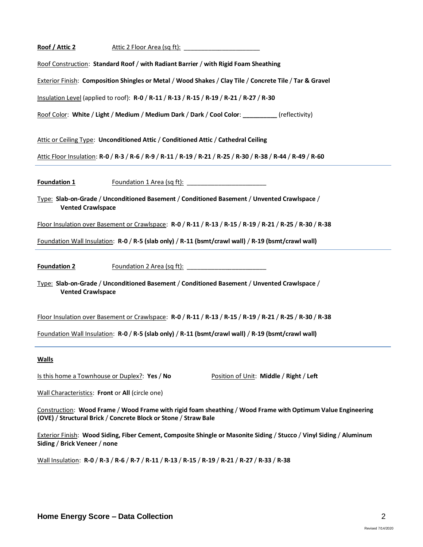| Roof / Attic 2           |                                                                                                              |
|--------------------------|--------------------------------------------------------------------------------------------------------------|
|                          | Roof Construction: Standard Roof / with Radiant Barrier / with Rigid Foam Sheathing                          |
|                          | Exterior Finish: Composition Shingles or Metal / Wood Shakes / Clay Tile / Concrete Tile / Tar & Gravel      |
|                          | Insulation Level (applied to roof): R-0 / R-11 / R-13 / R-15 / R-19 / R-21 / R-27 / R-30                     |
|                          | Roof Color: White / Light / Medium / Medium Dark / Dark / Cool Color: _________(reflectivity)                |
|                          | Attic or Ceiling Type: Unconditioned Attic / Conditioned Attic / Cathedral Ceiling                           |
|                          | Attic Floor Insulation: R-0 / R-3 / R-6 / R-9 / R-11 / R-19 / R-21 / R-25 / R-30 / R-38 / R-44 / R-49 / R-60 |
| Foundation 1             |                                                                                                              |
| <b>Vented Crawlspace</b> | Type: Slab-on-Grade / Unconditioned Basement / Conditioned Basement / Unvented Crawlspace /                  |
|                          | Floor Insulation over Basement or Crawlspace: R-0 / R-11 / R-13 / R-15 / R-19 / R-21 / R-25 / R-30 / R-38    |
|                          | Foundation Wall Insulation: R-0 / R-5 (slab only) / R-11 (bsmt/crawl wall) / R-19 (bsmt/crawl wall)          |
| <b>Foundation 2</b>      |                                                                                                              |
| <b>Vented Crawlspace</b> | Type: Slab-on-Grade / Unconditioned Basement / Conditioned Basement / Unvented Crawlspace /                  |

Floor Insulation over Basement or Crawlspace: **R-0** / **R-11** / **R-13** / **R-15** / **R-19** / **R-21** / **R-25** / **R-30** / **R-38**

Foundation Wall Insulation: **R-0** / **R-5 (slab only)** / **R-11 (bsmt/crawl wall)** / **R-19 (bsmt/crawl wall)**

#### **Walls**

Is this home a Townhouse or Duplex?: **Yes** / **No** Position of Unit: **Middle** / **Right** / **Left**

Wall Characteristics: **Front** or **All** (circle one)

Construction: **Wood Frame** / **Wood Frame with rigid foam sheathing** / **Wood Frame with Optimum Value Engineering (OVE)** / **Structural Brick** / **Concrete Block or Stone** / **Straw Bale**

Exterior Finish: **Wood Siding, Fiber Cement, Composite Shingle or Masonite Siding** / **Stucco** / **Vinyl Siding** / **Aluminum Siding** / **Brick Veneer** / **none**

Wall Insulation: **R-0** / **R-3** / **R-6** / **R-7** / **R-11** / **R-13** / **R-15** / **R-19** / **R-21** / **R-27** / **R-33** / **R-38**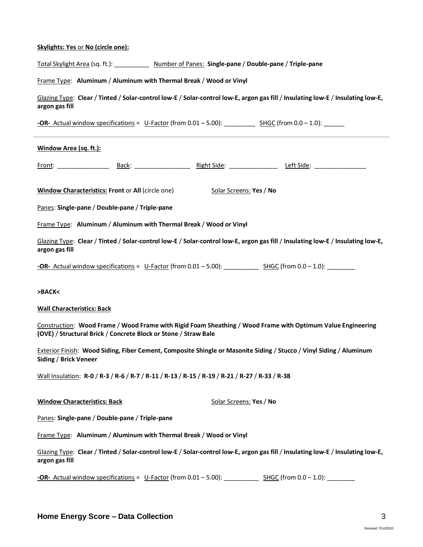#### **Skylights: Yes** or **No (circle one):**

| Total Skylight Area (sq. ft.): | Number of Panes: Single-pane / Double-pane / Triple-pane |  |
|--------------------------------|----------------------------------------------------------|--|
|--------------------------------|----------------------------------------------------------|--|

#### Frame Type: **Aluminum** / **Aluminum with Thermal Break** / **Wood or Vinyl**

Glazing Type: **Clear** / **Tinted** / **Solar-control low-E** / **Solar-control low-E, argon gas fill** / **Insulating low-E** / **Insulating low-E, argon gas fill**

**-OR-** Actual window specifications = U-Factor (from 0.01 – 5.00): \_\_\_\_\_\_\_\_\_\_\_ SHGC (from 0.0 – 1.0):

#### **Window Area (sq. ft.):**

Front: \_\_\_\_\_\_\_\_\_\_\_\_\_\_\_ Back: \_\_\_\_\_\_\_\_\_\_\_\_\_\_\_\_ Right Side: \_\_\_\_\_\_\_\_\_\_\_\_\_\_ Left Side: \_\_\_\_\_\_\_\_\_\_\_\_\_\_\_

**Window Characteristics: Front or All (circle one)** Solar Screens: Yes / No

Panes: **Single-pane** / **Double-pane** / **Triple-pane**

Frame Type: **Aluminum** / **Aluminum with Thermal Break** / **Wood or Vinyl**

Glazing Type: **Clear** / **Tinted** / **Solar-control low-E** / **Solar-control low-E, argon gas fill** / **Insulating low-E** / **Insulating low-E, argon gas fill**

**-OR-** Actual window specifications = U-Factor (from 0.01 – 5.00): \_\_\_\_\_\_\_\_\_\_ SHGC (from 0.0 – 1.0): \_\_\_\_\_\_\_\_

**>BACK<**

#### **Wall Characteristics: Back**

Construction: **Wood Frame** / **Wood Frame with Rigid Foam Sheathing** / **Wood Frame with Optimum Value Engineering (OVE)** / **Structural Brick** / **Concrete Block or Stone** / **Straw Bale**

Exterior Finish: **Wood Siding, Fiber Cement, Composite Shingle or Masonite Siding** / **Stucco** / **Vinyl Siding** / **Aluminum Siding** / **Brick Veneer**

Wall Insulation: **R-0** / **R-3** / **R-6** / **R-7** / **R-11** / **R-13** / **R-15** / **R-19** / **R-21** / **R-27** / **R-33** / **R-38**

**Window Characteristics: Back** Solar Screens: **Yes / No** 

Panes: **Single-pane** / **Double-pane** / **Triple-pane**

Frame Type: **Aluminum** / **Aluminum with Thermal Break** / **Wood or Vinyl**

Glazing Type: **Clear** / **Tinted** / **Solar-control low-E** / **Solar-control low-E, argon gas fill** / **Insulating low-E** / **Insulating low-E, argon gas fill**

**-OR-** Actual window specifications = U-Factor (from 0.01 – 5.00): SHGC (from 0.0 – 1.0):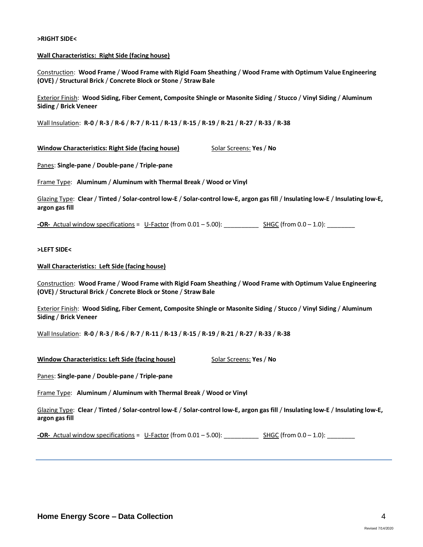#### **>RIGHT SIDE<**

#### **Wall Characteristics: Right Side (facing house)**

Construction: **Wood Frame** / **Wood Frame with Rigid Foam Sheathing** / **Wood Frame with Optimum Value Engineering (OVE)** / **Structural Brick** / **Concrete Block or Stone** / **Straw Bale**

Exterior Finish: **Wood Siding, Fiber Cement, Composite Shingle or Masonite Siding** / **Stucco** / **Vinyl Siding** / **Aluminum Siding** / **Brick Veneer**

Wall Insulation: **R-0** / **R-3** / **R-6** / **R-7** / **R-11** / **R-13** / **R-15** / **R-19** / **R-21** / **R-27** / **R-33** / **R-38**

**Window Characteristics: Right Side (facing house)** Solar Screens: **Yes** / No

Panes: **Single-pane** / **Double-pane** / **Triple-pane**

Frame Type: **Aluminum** / **Aluminum with Thermal Break** / **Wood or Vinyl**

Glazing Type: **Clear** / **Tinted** / **Solar-control low-E** / **Solar-control low-E, argon gas fill** / **Insulating low-E** / **Insulating low-E, argon gas fill**

**-OR-** Actual window specifications = U-Factor (from 0.01 – 5.00): \_\_\_\_\_\_\_\_\_\_\_\_ SHGC (from 0.0 – 1.0): \_\_\_\_\_\_\_

#### **>LEFT SIDE<**

#### **Wall Characteristics: Left Side (facing house)**

Construction: **Wood Frame** / **Wood Frame with Rigid Foam Sheathing** / **Wood Frame with Optimum Value Engineering (OVE)** / **Structural Brick** / **Concrete Block or Stone** / **Straw Bale**

Exterior Finish: **Wood Siding, Fiber Cement, Composite Shingle or Masonite Siding** / **Stucco** / **Vinyl Siding** / **Aluminum Siding** / **Brick Veneer**

Wall Insulation: **R-0** / **R-3** / **R-6** / **R-7** / **R-11** / **R-13** / **R-15** / **R-19** / **R-21** / **R-27** / **R-33** / **R-38**

**Window Characteristics: Left Side (facing house)** Solar Screens: **Yes** / No

Panes: **Single-pane** / **Double-pane** / **Triple-pane**

Frame Type: **Aluminum** / **Aluminum with Thermal Break** / **Wood or Vinyl**

Glazing Type: **Clear** / **Tinted** / **Solar-control low-E** / **Solar-control low-E, argon gas fill** / **Insulating low-E** / **Insulating low-E, argon gas fill**

**-OR-** Actual window specifications = U-Factor (from 0.01 – 5.00): SHGC (from 0.0 – 1.0):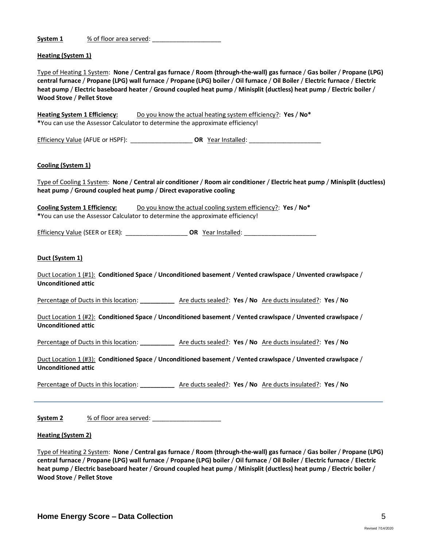| System 1 | % of floor area served: |
|----------|-------------------------|
|          |                         |

#### **Heating (System 1)**

Type of Heating 1 System: **None** / **Central gas furnace** / **Room (through-the-wall) gas furnace** / **Gas boiler** / **Propane (LPG) central furnace** / **Propane (LPG) wall furnace** / **Propane (LPG) boiler** / **Oil furnace** / **Oil Boiler** / **Electric furnace** / **Electric heat pump** / **Electric baseboard heater** / **Ground coupled heat pump** / **Minisplit (ductless) heat pump** / **Electric boiler** / **Wood Stove** / **Pellet Stove**

**Heating System 1 Efficiency:** Do you know the actual heating system efficiency?: **Yes** / **No\* \***You can use the Assessor Calculator to determine the approximate efficiency!

Efficiency Value (AFUE or HSPF): \_\_\_\_\_\_\_\_\_\_\_\_\_\_\_\_\_\_ **OR** Year Installed: \_\_\_\_\_\_\_\_\_\_\_\_\_\_\_\_\_\_\_\_\_

#### **Cooling (System 1)**

Type of Cooling 1 System: **None** / **Central air conditioner** / **Room air conditioner** / **Electric heat pump** / **Minisplit (ductless) heat pump** / **Ground coupled heat pump** / **Direct evaporative cooling**

**Cooling System 1 Efficiency:** Do you know the actual cooling system efficiency?: **Yes** / **No\* \***You can use the Assessor Calculator to determine the approximate efficiency!

Efficiency Value (SEER or EER): **DR** Year Installed: **OR COM** 

#### **Duct (System 1)**

Duct Location 1 (#1): **Conditioned Space** / **Unconditioned basement** / **Vented crawlspace** / **Unvented crawlspace** / **Unconditioned attic**

Percentage of Ducts in this location: **\_\_\_\_\_\_\_\_\_\_** Are ducts sealed?: **Yes** / **No** Are ducts insulated?: **Yes** / **No**

Duct Location 1 (#2): **Conditioned Space** / **Unconditioned basement** / **Vented crawlspace** / **Unvented crawlspace** / **Unconditioned attic**

Percentage of Ducts in this location: **\_\_\_\_\_\_\_\_\_\_** Are ducts sealed?: **Yes** / **No** Are ducts insulated?: **Yes** / **No**

Duct Location 1 (#3): **Conditioned Space** / **Unconditioned basement** / **Vented crawlspace** / **Unvented crawlspace** / **Unconditioned attic**

Percentage of Ducts in this location: **\_\_\_\_\_\_\_\_\_\_** Are ducts sealed?: **Yes** / **No** Are ducts insulated?: **Yes** / **No**

| System <sub>2</sub> | % of floor area served: |
|---------------------|-------------------------|
|                     |                         |

#### **Heating (System 2)**

Type of Heating 2 System: **None** / **Central gas furnace** / **Room (through-the-wall) gas furnace** / **Gas boiler** / **Propane (LPG) central furnace** / **Propane (LPG) wall furnace** / **Propane (LPG) boiler** / **Oil furnace** / **Oil Boiler** / **Electric furnace** / **Electric heat pump** / **Electric baseboard heater** / **Ground coupled heat pump** / **Minisplit (ductless) heat pump** / **Electric boiler** / **Wood Stove** / **Pellet Stove**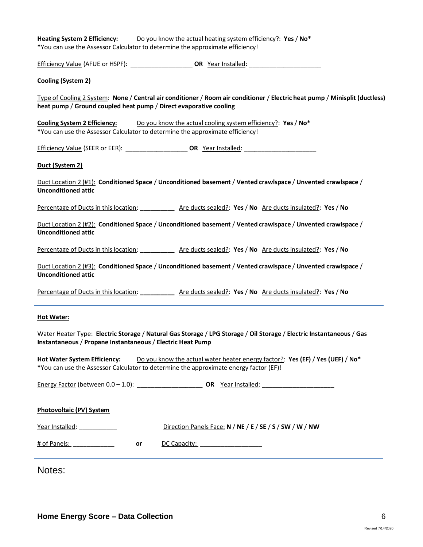| Do you know the actual heating system efficiency?: Yes / No*<br><b>Heating System 2 Efficiency:</b><br>*You can use the Assessor Calculator to determine the approximate efficiency!                           |
|----------------------------------------------------------------------------------------------------------------------------------------------------------------------------------------------------------------|
|                                                                                                                                                                                                                |
| Cooling (System 2)                                                                                                                                                                                             |
| Type of Cooling 2 System: None / Central air conditioner / Room air conditioner / Electric heat pump / Minisplit (ductless)<br>heat pump / Ground coupled heat pump / Direct evaporative cooling               |
| Do you know the actual cooling system efficiency?: Yes / No*<br><b>Cooling System 2 Efficiency:</b><br>*You can use the Assessor Calculator to determine the approximate efficiency!                           |
| Efficiency Value (SEER or EER): ___________________________________OR Year Installed: ________________________                                                                                                 |
| Duct (System 2)                                                                                                                                                                                                |
| Duct Location 2 $(\#1)$ : Conditioned Space / Unconditioned basement / Vented crawlspace / Unvented crawlspace /<br><b>Unconditioned attic</b>                                                                 |
| Percentage of Ducts in this location: ____________ Are ducts sealed?: Yes / No Are ducts insulated?: Yes / No                                                                                                  |
| Duct Location 2 (#2): Conditioned Space / Unconditioned basement / Vented crawlspace / Unvented crawlspace /<br><b>Unconditioned attic</b>                                                                     |
| Percentage of Ducts in this location: ____________ Are ducts sealed?: Yes / No Are ducts insulated?: Yes / No                                                                                                  |
| Duct Location 2 (#3): Conditioned Space / Unconditioned basement / Vented crawlspace / Unvented crawlspace /<br><b>Unconditioned attic</b>                                                                     |
| Percentage of Ducts in this location: _____________ Are ducts sealed?: Yes / No Are ducts insulated?: Yes / No                                                                                                 |
| <b>Hot Water:</b>                                                                                                                                                                                              |
| Water Heater Type: Electric Storage / Natural Gas Storage / LPG Storage / Oil Storage / Electric Instantaneous / Gas<br>Instantaneous / Propane Instantaneous / Electric Heat Pump                             |
| <b>Hot Water System Efficiency:</b><br>Do you know the actual water heater energy factor?: Yes (EF) / Yes (UEF) / No*<br>*You can use the Assessor Calculator to determine the approximate energy factor (EF)! |
|                                                                                                                                                                                                                |
| Photovoltaic (PV) System                                                                                                                                                                                       |
| Direction Panels Face: N / NE / E / SE / S / SW / W / NW<br>Year Installed:                                                                                                                                    |
| DC Capacity: ____________________<br>or                                                                                                                                                                        |
| Notes:                                                                                                                                                                                                         |

 $\overline{\phantom{0}}$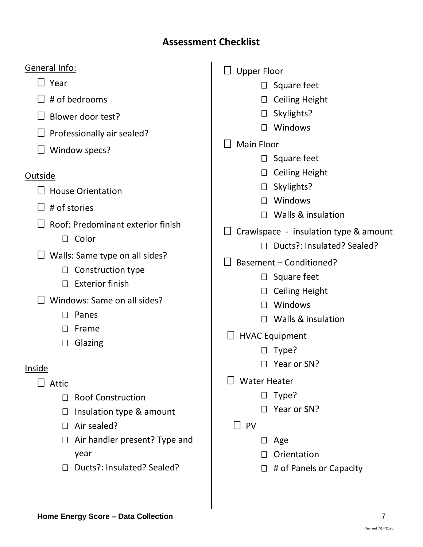## **Assessment Checklist**

## General Info:

□ Year

- $\Box$  # of bedrooms
- $\Box$  Blower door test?
- $\Box$  Professionally air sealed?
- $\Box$  Window specs?

## **Outside**

- $\Box$  House Orientation
- $\Box$  # of stories
- $\Box$  Roof: Predominant exterior finish
	- $\Box$  Color
- $\Box$  Walls: Same type on all sides?
	- $\Box$  Construction type
	- $\Box$  Exterior finish
- $\Box$  Windows: Same on all sides?
	- $\Box$  Panes
	- Frame
	- □ Glazing

## Inside

- $\Box$  Attic
	- □ Roof Construction
	- $\Box$  Insulation type & amount
	- □ Air sealed?
	- $\Box$  Air handler present? Type and year
	- D Ducts?: Insulated? Sealed?

## $\Box$  Upper Floor

- $\square$  Square feet
- □ Ceiling Height
- □ Skylights?
- □ Windows
- $\Box$  Main Floor
	- $\square$  Square feet
	- □ Ceiling Height
	- $\Box$  Skylights?
	- Windows
	- □ Walls & insulation
- $\Box$  Crawlspace insulation type & amount
	- □ Ducts?: Insulated? Sealed?
- $\Box$  Basement Conditioned?
	- $\square$  Square feet
	- $\Box$  Ceiling Height
	- Windows
	- $\Box$  Walls & insulation
- $\Box$  HVAC Equipment
	- $\Box$  Type?
	- □ Year or SN?
- Water Heater
	- $\square$  Type?
	- Year or SN?

## $\Box$  PV

- □ Age
- $\Box$  Orientation
- $\Box$  # of Panels or Capacity